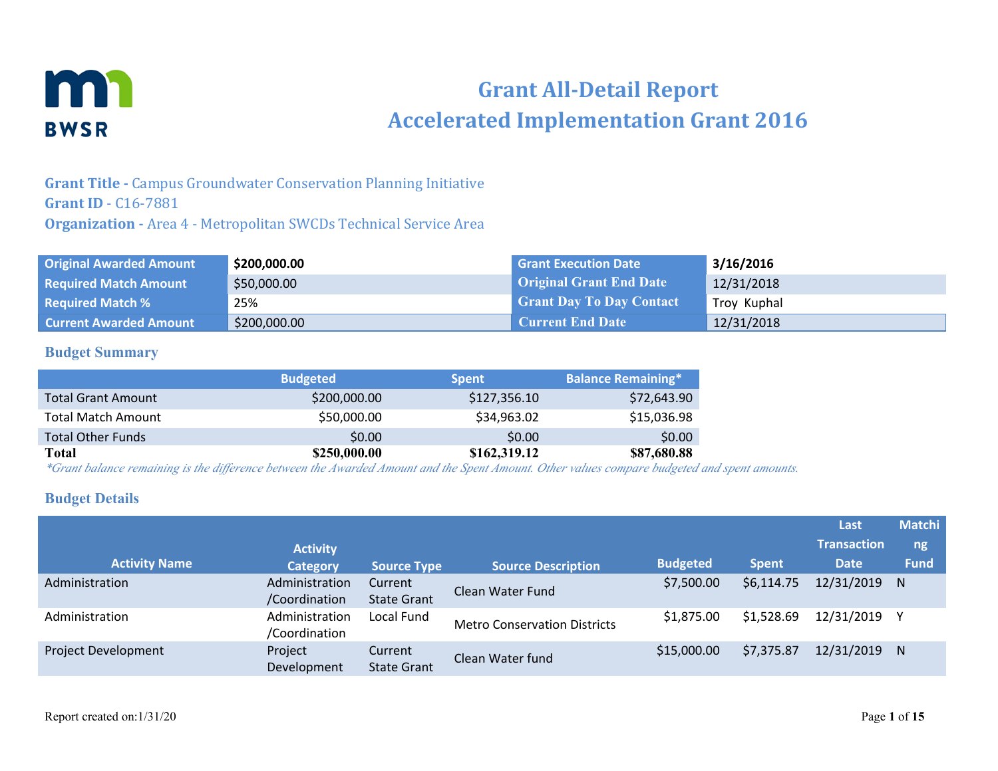

# **Grant All-Detail Report Accelerated Implementation Grant 2016**

# **Grant Title -** Campus Groundwater Conservation Planning Initiative **Grant ID** - C16-7881 **Organization -** Area 4 - Metropolitan SWCDs Technical Service Area

| <b>Original Awarded Amount</b> | \$200,000.00 | <b>Grant Execution Date</b>     | 3/16/2016   |
|--------------------------------|--------------|---------------------------------|-------------|
| <b>Required Match Amount</b>   | \$50,000.00  | <b>Original Grant End Date</b>  | 12/31/2018  |
| <b>Required Match %</b>        | 25%          | <b>Grant Day To Day Contact</b> | Troy Kuphal |
| <b>Current Awarded Amount</b>  | \$200,000.00 | <b>Current End Date</b>         | 12/31/2018  |

## **Budget Summary**

|                           | <b>Budgeted</b> | <b>Spent</b> | <b>Balance Remaining*</b> |
|---------------------------|-----------------|--------------|---------------------------|
| <b>Total Grant Amount</b> | \$200,000.00    | \$127,356.10 | \$72,643.90               |
| Total Match Amount        | \$50,000.00     | \$34,963.02  | \$15,036.98               |
| <b>Total Other Funds</b>  | \$0.00          | \$0.00       | \$0.00                    |
| Total                     | \$250,000.00    | \$162,319.12 | \$87,680.88               |

*\*Grant balance remaining is the difference between the Awarded Amount and the Spent Amount. Other values compare budgeted and spent amounts.*

## **Budget Details**

| <b>Activity Name</b> | <b>Activity</b><br><b>Category</b> | <b>Source Type</b>            | <b>Source Description</b>           | <b>Budgeted</b> | <b>Spent</b> | Last<br><b>Transaction</b><br><b>Date</b> | <b>Matchi</b><br>ng,<br><b>Fund</b> |
|----------------------|------------------------------------|-------------------------------|-------------------------------------|-----------------|--------------|-------------------------------------------|-------------------------------------|
| Administration       | Administration<br>/Coordination    | Current<br><b>State Grant</b> | Clean Water Fund                    | \$7,500.00      | \$6,114.75   | 12/31/2019                                | N                                   |
| Administration       | Administration<br>/Coordination    | Local Fund                    | <b>Metro Conservation Districts</b> | \$1,875.00      | \$1,528.69   | 12/31/2019                                |                                     |
| Project Development  | Project<br>Development             | Current<br><b>State Grant</b> | Clean Water fund                    | \$15,000.00     | \$7,375.87   | 12/31/2019                                | N                                   |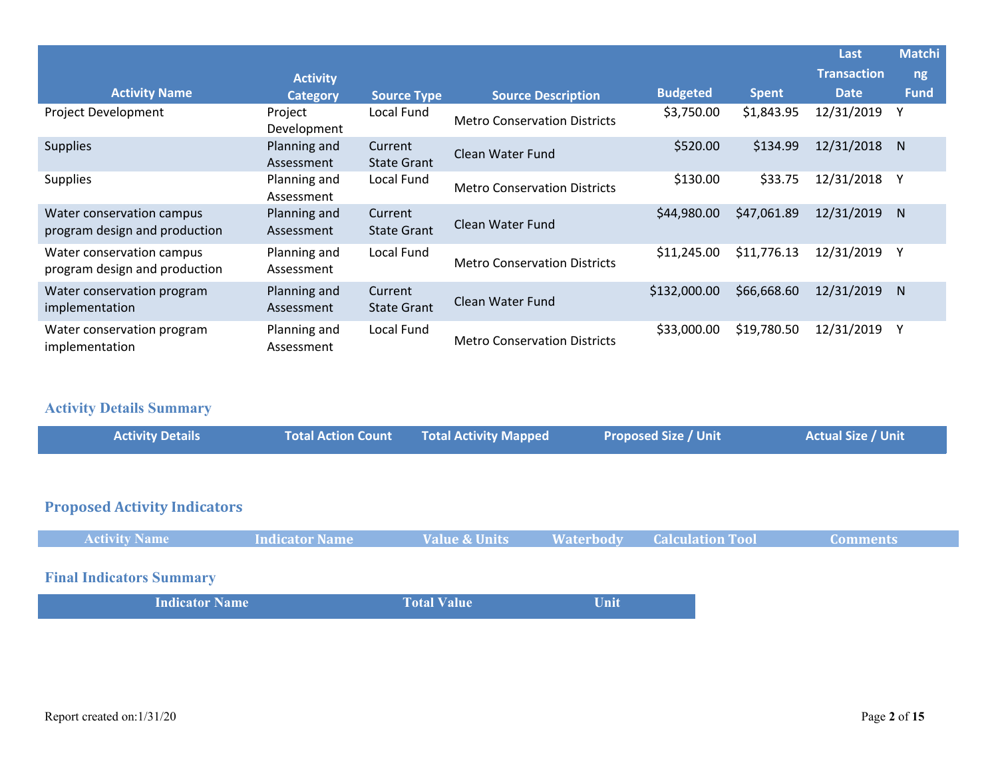|                                                            |                            |                               |                                     |                 |              | Last               | <b>Matchi</b> |
|------------------------------------------------------------|----------------------------|-------------------------------|-------------------------------------|-----------------|--------------|--------------------|---------------|
|                                                            | <b>Activity</b>            |                               |                                     |                 |              | <b>Transaction</b> | ng/           |
| <b>Activity Name</b>                                       | <b>Category</b>            | <b>Source Type</b>            | <b>Source Description</b>           | <b>Budgeted</b> | <b>Spent</b> | <b>Date</b>        | <b>Fund</b>   |
| Project Development                                        | Project<br>Development     | Local Fund                    | <b>Metro Conservation Districts</b> | \$3,750.00      | \$1,843.95   | 12/31/2019         | Υ             |
| <b>Supplies</b>                                            | Planning and<br>Assessment | Current<br><b>State Grant</b> | Clean Water Fund                    | \$520.00        | \$134.99     | 12/31/2018         | N.            |
| <b>Supplies</b>                                            | Planning and<br>Assessment | Local Fund                    | <b>Metro Conservation Districts</b> | \$130.00        | \$33.75      | 12/31/2018         |               |
| Water conservation campus<br>program design and production | Planning and<br>Assessment | Current<br><b>State Grant</b> | Clean Water Fund                    | \$44,980.00     | \$47,061.89  | 12/31/2019         | N.            |
| Water conservation campus<br>program design and production | Planning and<br>Assessment | Local Fund                    | <b>Metro Conservation Districts</b> | \$11,245.00     | \$11,776.13  | 12/31/2019         | Υ             |
| Water conservation program<br>implementation               | Planning and<br>Assessment | Current<br><b>State Grant</b> | Clean Water Fund                    | \$132,000.00    | \$66,668.60  | 12/31/2019         | N.            |
| Water conservation program<br>implementation               | Planning and<br>Assessment | Local Fund                    | <b>Metro Conservation Districts</b> | \$33,000.00     | \$19,780.50  | 12/31/2019         |               |

# **Activity Details Summary**

| <b>Activity Details</b> | <b>Total Activity Mapped</b><br><b>Total Action Count</b> | <b>Proposed Size / Unit</b> | <b>Actual Size / Unit</b> |
|-------------------------|-----------------------------------------------------------|-----------------------------|---------------------------|
|                         |                                                           |                             |                           |
| .<br>$\sim$ $\sim$      |                                                           |                             |                           |

# **Proposed Activity Indicators**

| <b>Activity Name</b>            | <b>Indicator Name</b> | Value & Units      | <b>Waterbody</b> | <b>Calculation Tool</b> | <b>Comments</b> |
|---------------------------------|-----------------------|--------------------|------------------|-------------------------|-----------------|
|                                 |                       |                    |                  |                         |                 |
| <b>Final Indicators Summary</b> |                       |                    |                  |                         |                 |
| <b>Indicator Name</b>           |                       | <b>Total Value</b> | Unit             |                         |                 |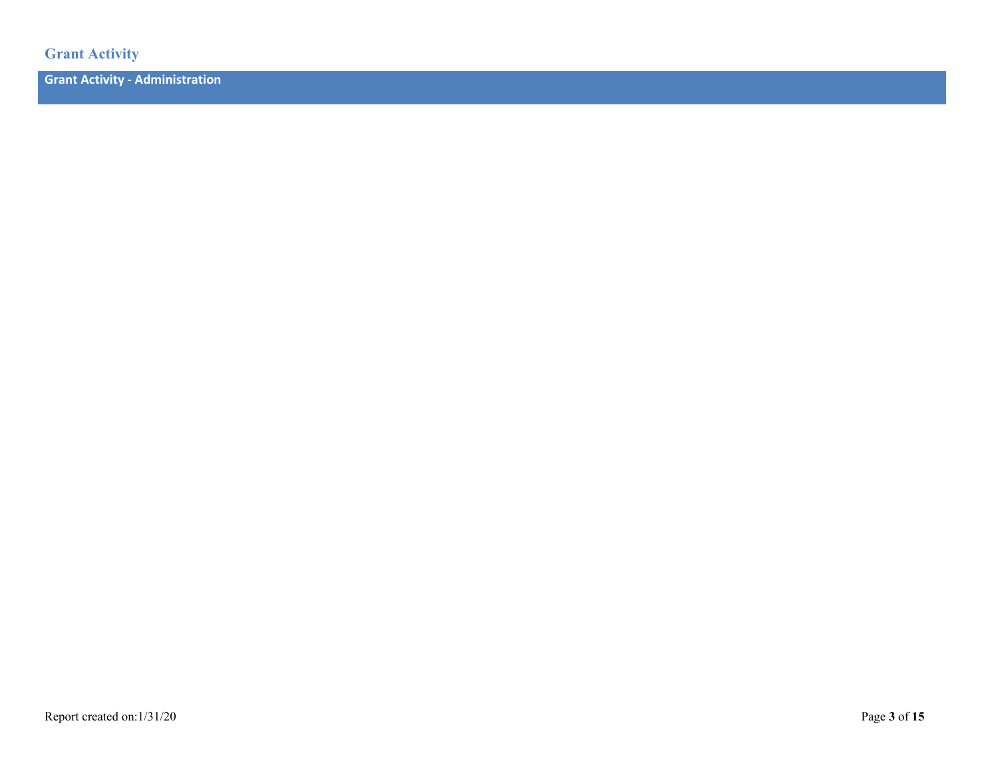**Grant Activity**

**Grant Activity - Administration**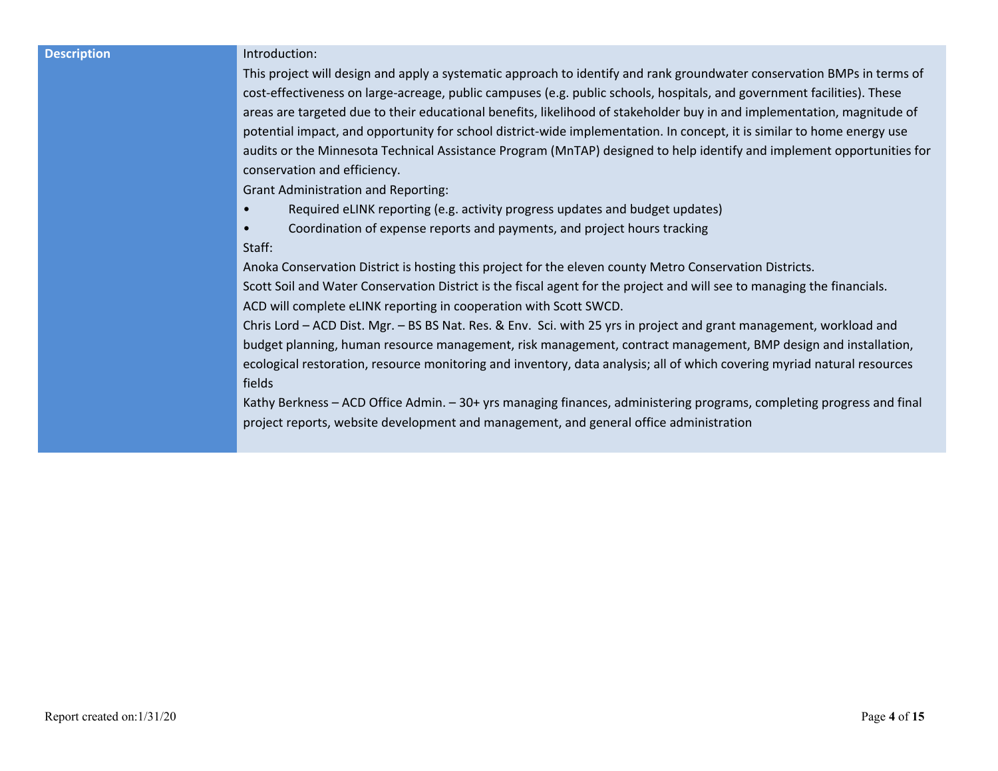### **Description Introduction:**

This project will design and apply a systematic approach to identify and rank groundwater conservation BMPs in terms of cost-effectiveness on large-acreage, public campuses (e.g. public schools, hospitals, and government facilities). These areas are targeted due to their educational benefits, likelihood of stakeholder buy in and implementation, magnitude of potential impact, and opportunity for school district-wide implementation. In concept, it is similar to home energy use audits or the Minnesota Technical Assistance Program (MnTAP) designed to help identify and implement opportunities for conservation and efficiency.

Grant Administration and Reporting:

- Required eLINK reporting (e.g. activity progress updates and budget updates)
- Coordination of expense reports and payments, and project hours tracking

### Staff:

Anoka Conservation District is hosting this project for the eleven county Metro Conservation Districts.

Scott Soil and Water Conservation District is the fiscal agent for the project and will see to managing the financials. ACD will complete eLINK reporting in cooperation with Scott SWCD.

Chris Lord – ACD Dist. Mgr. – BS BS Nat. Res. & Env. Sci. with 25 yrs in project and grant management, workload and budget planning, human resource management, risk management, contract management, BMP design and installation, ecological restoration, resource monitoring and inventory, data analysis; all of which covering myriad natural resources fields

Kathy Berkness – ACD Office Admin. – 30+ yrs managing finances, administering programs, completing progress and final project reports, website development and management, and general office administration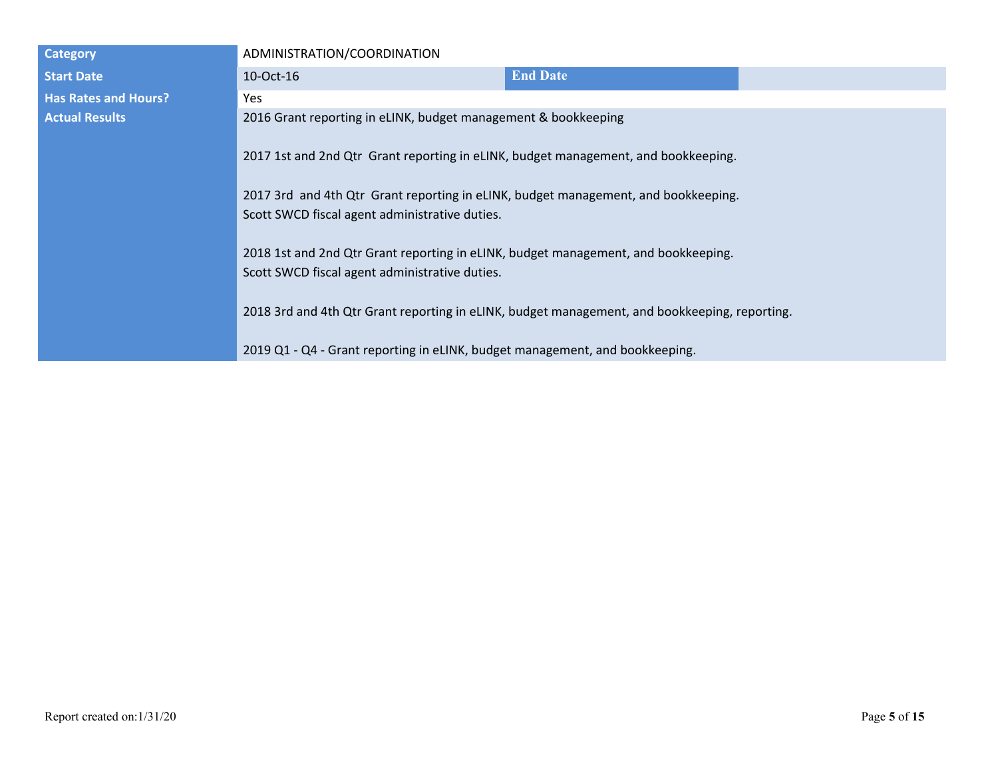| <b>Category</b>             | ADMINISTRATION/COORDINATION                                                                                                          |                 |  |  |
|-----------------------------|--------------------------------------------------------------------------------------------------------------------------------------|-----------------|--|--|
| <b>Start Date</b>           | 10-Oct-16                                                                                                                            | <b>End Date</b> |  |  |
| <b>Has Rates and Hours?</b> | Yes                                                                                                                                  |                 |  |  |
| <b>Actual Results</b>       | 2016 Grant reporting in eLINK, budget management & bookkeeping                                                                       |                 |  |  |
|                             | 2017 1st and 2nd Qtr Grant reporting in eLINK, budget management, and bookkeeping.                                                   |                 |  |  |
|                             | 2017 3rd and 4th Qtr Grant reporting in eLINK, budget management, and bookkeeping.                                                   |                 |  |  |
|                             | Scott SWCD fiscal agent administrative duties.                                                                                       |                 |  |  |
|                             | 2018 1st and 2nd Qtr Grant reporting in eLINK, budget management, and bookkeeping.<br>Scott SWCD fiscal agent administrative duties. |                 |  |  |
|                             | 2018 3rd and 4th Qtr Grant reporting in eLINK, budget management, and bookkeeping, reporting.                                        |                 |  |  |
|                             | 2019 Q1 - Q4 - Grant reporting in eLINK, budget management, and bookkeeping.                                                         |                 |  |  |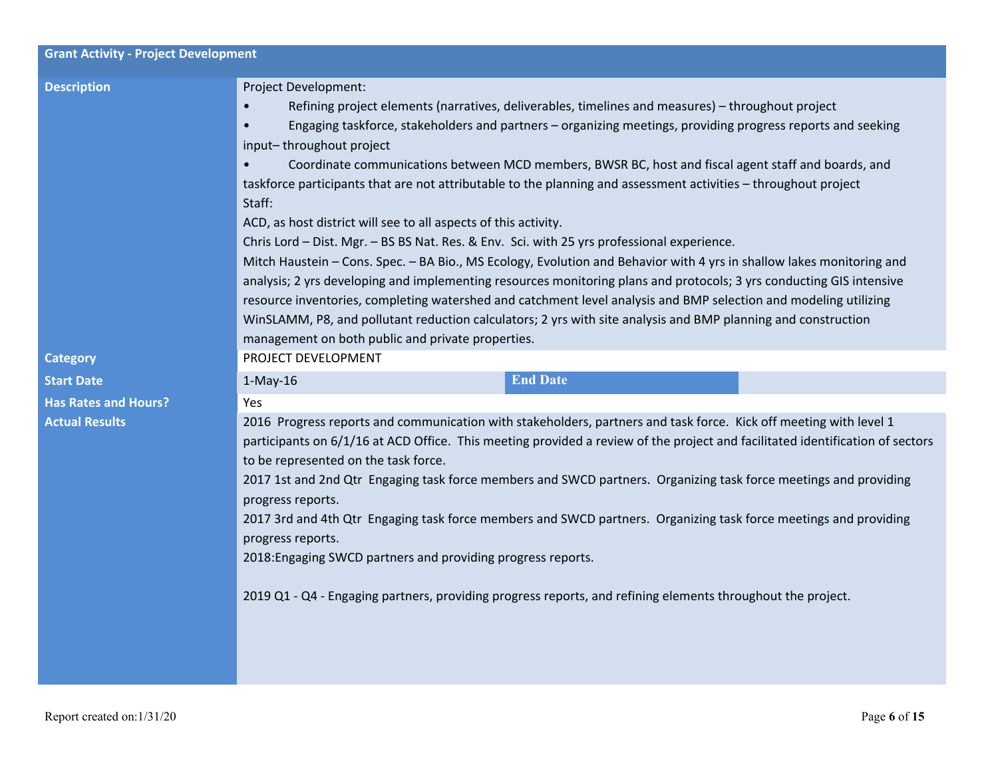| <b>Grant Activity - Project Development</b> |                                                                                                                                                                                                                                                                                                                                                                                                                                                                                                                                                                                                                                                                                                                                                                                                                                                                                                                                                                                                                                                                                                                                                                                                                                          |
|---------------------------------------------|------------------------------------------------------------------------------------------------------------------------------------------------------------------------------------------------------------------------------------------------------------------------------------------------------------------------------------------------------------------------------------------------------------------------------------------------------------------------------------------------------------------------------------------------------------------------------------------------------------------------------------------------------------------------------------------------------------------------------------------------------------------------------------------------------------------------------------------------------------------------------------------------------------------------------------------------------------------------------------------------------------------------------------------------------------------------------------------------------------------------------------------------------------------------------------------------------------------------------------------|
| <b>Description</b>                          | <b>Project Development:</b><br>Refining project elements (narratives, deliverables, timelines and measures) - throughout project<br>Engaging taskforce, stakeholders and partners - organizing meetings, providing progress reports and seeking<br>$\bullet$<br>input-throughout project<br>Coordinate communications between MCD members, BWSR BC, host and fiscal agent staff and boards, and<br>taskforce participants that are not attributable to the planning and assessment activities - throughout project<br>Staff:<br>ACD, as host district will see to all aspects of this activity.<br>Chris Lord - Dist. Mgr. - BS BS Nat. Res. & Env. Sci. with 25 yrs professional experience.<br>Mitch Haustein - Cons. Spec. - BA Bio., MS Ecology, Evolution and Behavior with 4 yrs in shallow lakes monitoring and<br>analysis; 2 yrs developing and implementing resources monitoring plans and protocols; 3 yrs conducting GIS intensive<br>resource inventories, completing watershed and catchment level analysis and BMP selection and modeling utilizing<br>WinSLAMM, P8, and pollutant reduction calculators; 2 yrs with site analysis and BMP planning and construction<br>management on both public and private properties. |
| <b>Category</b>                             | PROJECT DEVELOPMENT                                                                                                                                                                                                                                                                                                                                                                                                                                                                                                                                                                                                                                                                                                                                                                                                                                                                                                                                                                                                                                                                                                                                                                                                                      |
| <b>Start Date</b>                           | <b>End Date</b><br>$1-May-16$                                                                                                                                                                                                                                                                                                                                                                                                                                                                                                                                                                                                                                                                                                                                                                                                                                                                                                                                                                                                                                                                                                                                                                                                            |
| <b>Has Rates and Hours?</b>                 | Yes                                                                                                                                                                                                                                                                                                                                                                                                                                                                                                                                                                                                                                                                                                                                                                                                                                                                                                                                                                                                                                                                                                                                                                                                                                      |
| <b>Actual Results</b>                       | 2016 Progress reports and communication with stakeholders, partners and task force. Kick off meeting with level 1<br>participants on 6/1/16 at ACD Office. This meeting provided a review of the project and facilitated identification of sectors<br>to be represented on the task force.<br>2017 1st and 2nd Qtr Engaging task force members and SWCD partners. Organizing task force meetings and providing<br>progress reports.<br>2017 3rd and 4th Qtr Engaging task force members and SWCD partners. Organizing task force meetings and providing<br>progress reports.<br>2018: Engaging SWCD partners and providing progress reports.<br>2019 Q1 - Q4 - Engaging partners, providing progress reports, and refining elements throughout the project.                                                                                                                                                                                                                                                                                                                                                                                                                                                                              |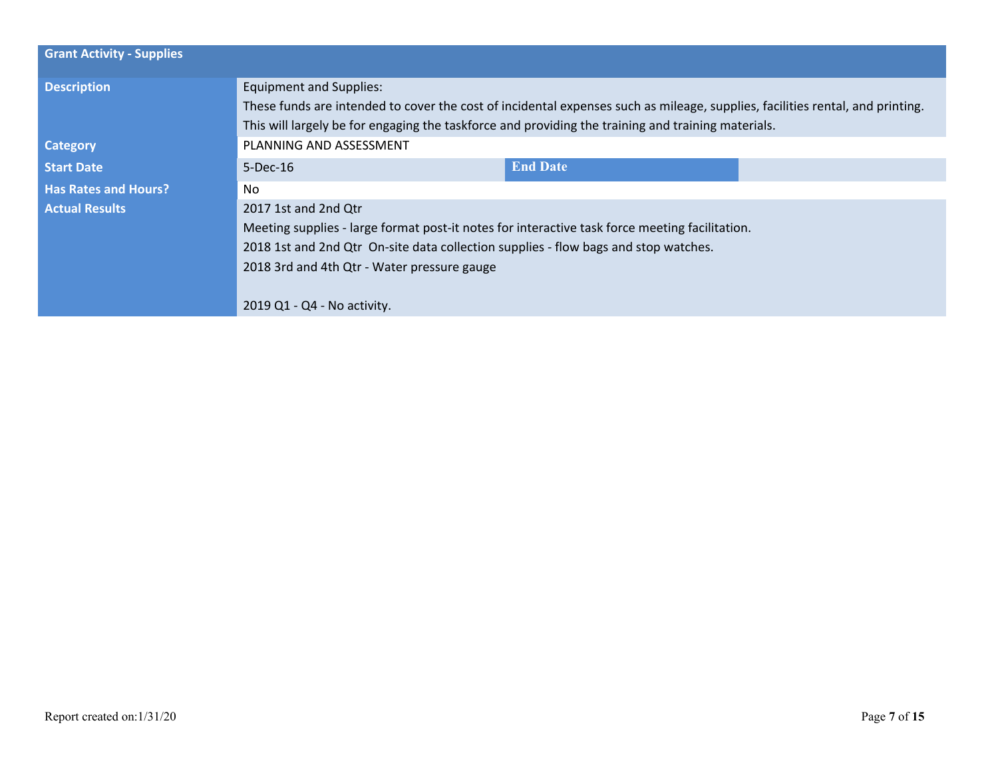| <b>Grant Activity - Supplies</b> |                                                                                                                               |                 |  |
|----------------------------------|-------------------------------------------------------------------------------------------------------------------------------|-----------------|--|
| <b>Description</b>               | <b>Equipment and Supplies:</b>                                                                                                |                 |  |
|                                  | These funds are intended to cover the cost of incidental expenses such as mileage, supplies, facilities rental, and printing. |                 |  |
|                                  | This will largely be for engaging the taskforce and providing the training and training materials.                            |                 |  |
| <b>Category</b>                  | PLANNING AND ASSESSMENT                                                                                                       |                 |  |
| <b>Start Date</b>                | $5-Dec-16$                                                                                                                    | <b>End Date</b> |  |
| <b>Has Rates and Hours?</b>      | No.                                                                                                                           |                 |  |
| <b>Actual Results</b>            | 2017 1st and 2nd Qtr                                                                                                          |                 |  |
|                                  | Meeting supplies - large format post-it notes for interactive task force meeting facilitation.                                |                 |  |
|                                  | 2018 1st and 2nd Qtr On-site data collection supplies - flow bags and stop watches.                                           |                 |  |
|                                  | 2018 3rd and 4th Qtr - Water pressure gauge                                                                                   |                 |  |
|                                  |                                                                                                                               |                 |  |
|                                  | 2019 Q1 - Q4 - No activity.                                                                                                   |                 |  |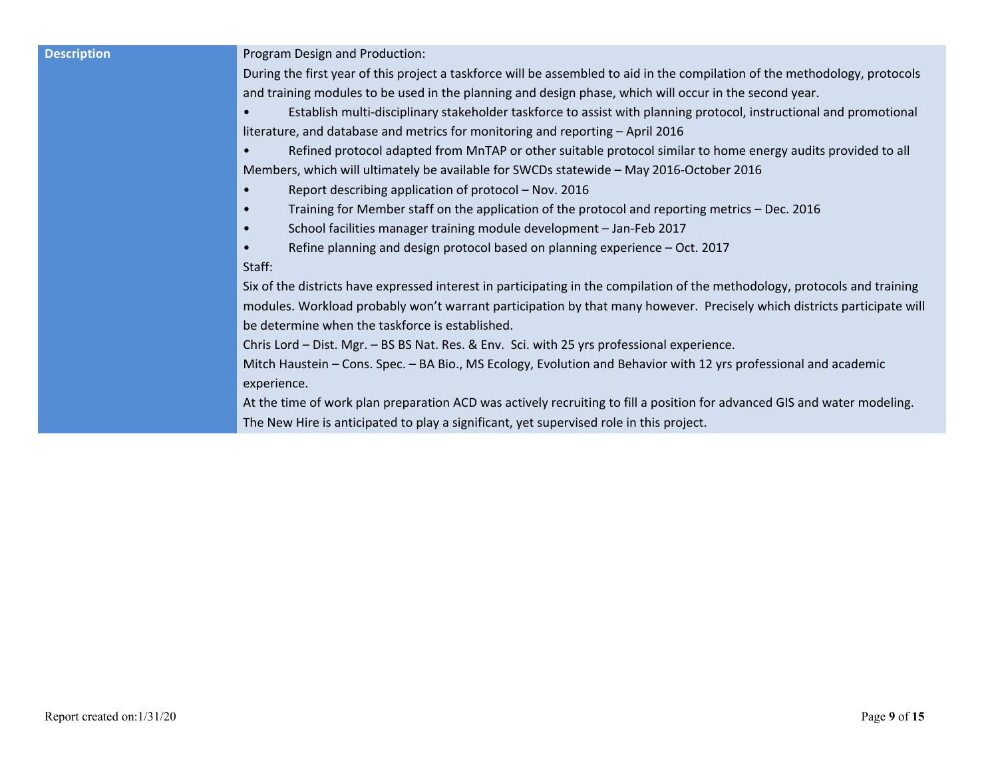**Description Program Design and Production:** 

During the first year of this project a taskforce will be assembled to aid in the compilation of the methodology, protocols and training modules to be used in the planning and design phase, which will occur in the second year.

• Establish multi-disciplinary stakeholder taskforce to assist with planning protocol, instructional and promotional literature, and database and metrics for monitoring and reporting – April 2016

• Refined protocol adapted from MnTAP or other suitable protocol similar to home energy audits provided to all Members, which will ultimately be available for SWCDs statewide – May 2016-October 2016

- Report describing application of protocol Nov. 2016
- Training for Member staff on the application of the protocol and reporting metrics Dec. 2016
- School facilities manager training module development Jan-Feb 2017
- Refine planning and design protocol based on planning experience Oct. 2017

### Staff:

Six of the districts have expressed interest in participating in the compilation of the methodology, protocols and training modules. Workload probably won't warrant participation by that many however. Precisely which districts participate will be determine when the taskforce is established.

Chris Lord – Dist. Mgr. – BS BS Nat. Res. & Env. Sci. with 25 yrs professional experience.

Mitch Haustein – Cons. Spec. – BA Bio., MS Ecology, Evolution and Behavior with 12 yrs professional and academic experience.

At the time of work plan preparation ACD was actively recruiting to fill a position for advanced GIS and water modeling. The New Hire is anticipated to play a significant, yet supervised role in this project.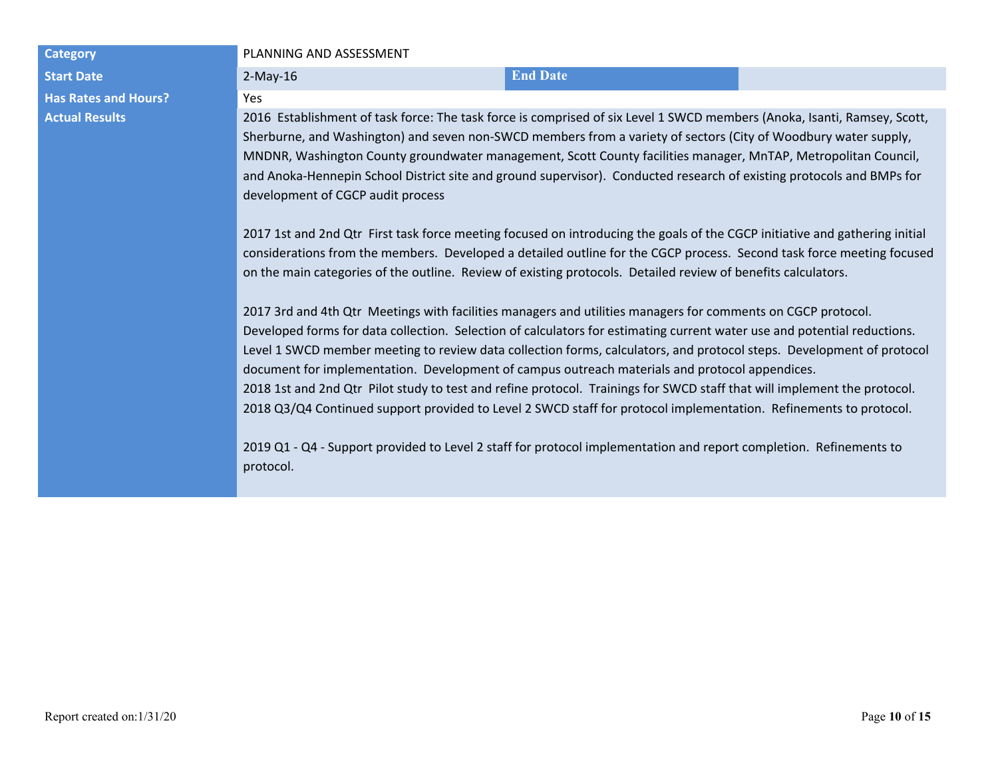**Start Date** 2.1 **End Date** 2.1 **End Date** 2.1 **End Date** 2.1 **End Date** 2.1 **End Date Has Rates and Hours?** Yes

### **Category PLANNING AND ASSESSMENT**

**Actual Results** 2016 Establishment of task force: The task force is comprised of six Level 1 SWCD members (Anoka, Isanti, Ramsey, Scott, Sherburne, and Washington) and seven non-SWCD members from a variety of sectors (City of Woodbury water supply, MNDNR, Washington County groundwater management, Scott County facilities manager, MnTAP, Metropolitan Council, and Anoka-Hennepin School District site and ground supervisor). Conducted research of existing protocols and BMPs for development of CGCP audit process

> 2017 1st and 2nd Qtr First task force meeting focused on introducing the goals of the CGCP initiative and gathering initial considerations from the members. Developed a detailed outline for the CGCP process. Second task force meeting focused on the main categories of the outline. Review of existing protocols. Detailed review of benefits calculators.

> 2017 3rd and 4th Qtr Meetings with facilities managers and utilities managers for comments on CGCP protocol. Developed forms for data collection. Selection of calculators for estimating current water use and potential reductions. Level 1 SWCD member meeting to review data collection forms, calculators, and protocol steps. Development of protocol document for implementation. Development of campus outreach materials and protocol appendices. 2018 1st and 2nd Qtr Pilot study to test and refine protocol. Trainings for SWCD staff that will implement the protocol. 2018 Q3/Q4 Continued support provided to Level 2 SWCD staff for protocol implementation. Refinements to protocol.

2019 Q1 - Q4 - Support provided to Level 2 staff for protocol implementation and report completion. Refinements to protocol.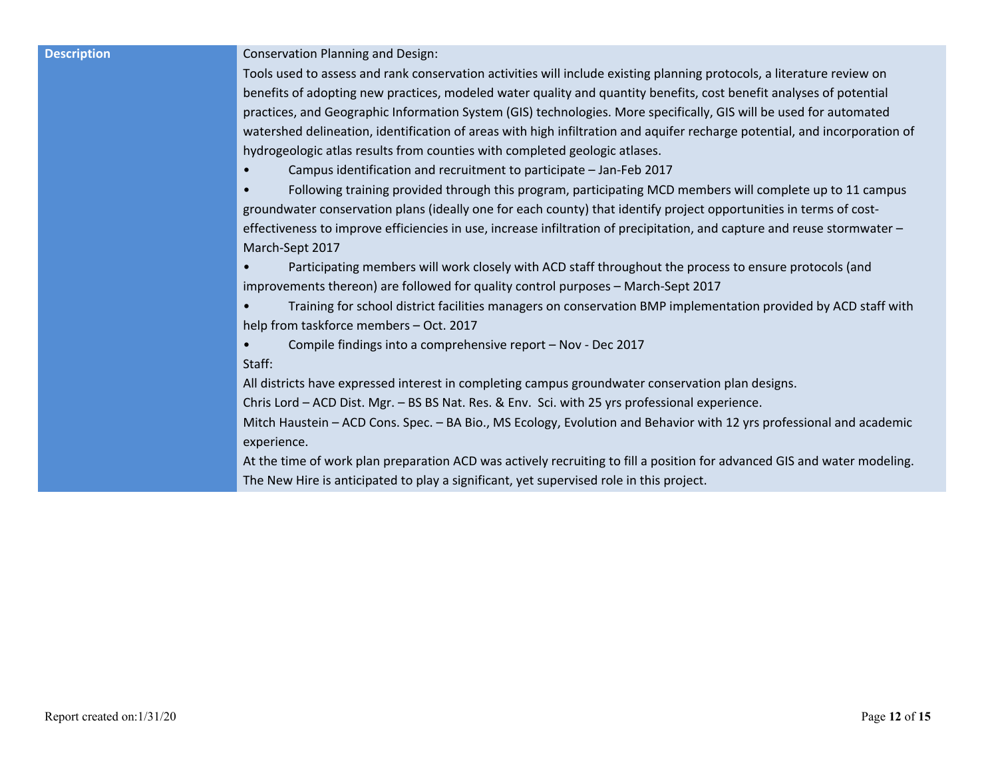**Description Conservation Planning and Design:** 

Tools used to assess and rank conservation activities will include existing planning protocols, a literature review on benefits of adopting new practices, modeled water quality and quantity benefits, cost benefit analyses of potential practices, and Geographic Information System (GIS) technologies. More specifically, GIS will be used for automated watershed delineation, identification of areas with high infiltration and aquifer recharge potential, and incorporation of hydrogeologic atlas results from counties with completed geologic atlases.

• Campus identification and recruitment to participate – Jan-Feb 2017

• Following training provided through this program, participating MCD members will complete up to 11 campus groundwater conservation plans (ideally one for each county) that identify project opportunities in terms of costeffectiveness to improve efficiencies in use, increase infiltration of precipitation, and capture and reuse stormwater – March-Sept 2017

• Participating members will work closely with ACD staff throughout the process to ensure protocols (and improvements thereon) are followed for quality control purposes – March-Sept 2017

• Training for school district facilities managers on conservation BMP implementation provided by ACD staff with help from taskforce members – Oct. 2017

• Compile findings into a comprehensive report – Nov - Dec 2017 Staff:

All districts have expressed interest in completing campus groundwater conservation plan designs.

Chris Lord – ACD Dist. Mgr. – BS BS Nat. Res. & Env. Sci. with 25 yrs professional experience.

Mitch Haustein – ACD Cons. Spec. – BA Bio., MS Ecology, Evolution and Behavior with 12 yrs professional and academic experience.

At the time of work plan preparation ACD was actively recruiting to fill a position for advanced GIS and water modeling. The New Hire is anticipated to play a significant, yet supervised role in this project.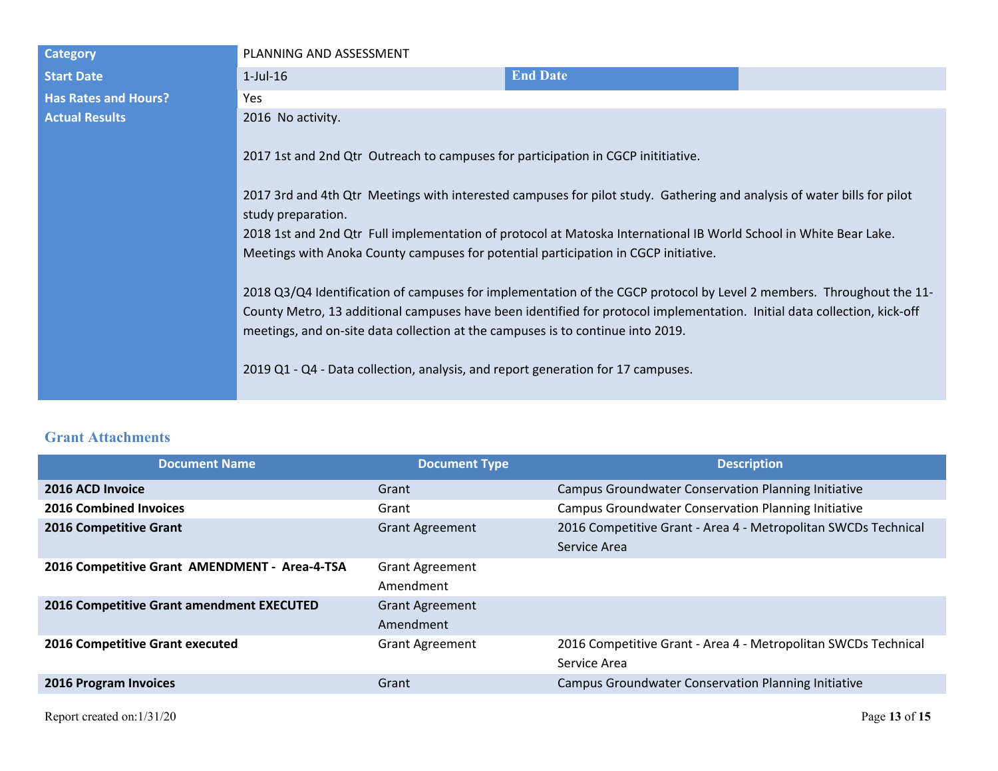| <b>Category</b>             | PLANNING AND ASSESSMENT                                                                                                                                                                                                                                                                                                                                                                                                                        |                 |  |
|-----------------------------|------------------------------------------------------------------------------------------------------------------------------------------------------------------------------------------------------------------------------------------------------------------------------------------------------------------------------------------------------------------------------------------------------------------------------------------------|-----------------|--|
| <b>Start Date</b>           | $1$ -Jul- $16$                                                                                                                                                                                                                                                                                                                                                                                                                                 | <b>End Date</b> |  |
| <b>Has Rates and Hours?</b> | <b>Yes</b>                                                                                                                                                                                                                                                                                                                                                                                                                                     |                 |  |
| <b>Actual Results</b>       | 2016 No activity.                                                                                                                                                                                                                                                                                                                                                                                                                              |                 |  |
|                             | 2017 1st and 2nd Qtr Outreach to campuses for participation in CGCP inititiative.<br>2017 3rd and 4th Qtr Meetings with interested campuses for pilot study. Gathering and analysis of water bills for pilot<br>study preparation.<br>2018 1st and 2nd Qtr Full implementation of protocol at Matoska International IB World School in White Bear Lake.<br>Meetings with Anoka County campuses for potential participation in CGCP initiative. |                 |  |
|                             | 2018 Q3/Q4 Identification of campuses for implementation of the CGCP protocol by Level 2 members. Throughout the 11-<br>County Metro, 13 additional campuses have been identified for protocol implementation. Initial data collection, kick-off<br>meetings, and on-site data collection at the campuses is to continue into 2019.<br>2019 Q1 - Q4 - Data collection, analysis, and report generation for 17 campuses.                        |                 |  |

# **Grant Attachments**

| <b>Document Name</b>                          | <b>Document Type</b>   | <b>Description</b>                                             |
|-----------------------------------------------|------------------------|----------------------------------------------------------------|
| 2016 ACD Invoice                              | Grant                  | <b>Campus Groundwater Conservation Planning Initiative</b>     |
| <b>2016 Combined Invoices</b>                 | Grant                  | <b>Campus Groundwater Conservation Planning Initiative</b>     |
| <b>2016 Competitive Grant</b>                 | <b>Grant Agreement</b> | 2016 Competitive Grant - Area 4 - Metropolitan SWCDs Technical |
|                                               |                        | Service Area                                                   |
| 2016 Competitive Grant AMENDMENT - Area-4-TSA | <b>Grant Agreement</b> |                                                                |
|                                               | Amendment              |                                                                |
| 2016 Competitive Grant amendment EXECUTED     | <b>Grant Agreement</b> |                                                                |
|                                               | Amendment              |                                                                |
| 2016 Competitive Grant executed               | <b>Grant Agreement</b> | 2016 Competitive Grant - Area 4 - Metropolitan SWCDs Technical |
|                                               |                        | Service Area                                                   |
| 2016 Program Invoices                         | Grant                  | <b>Campus Groundwater Conservation Planning Initiative</b>     |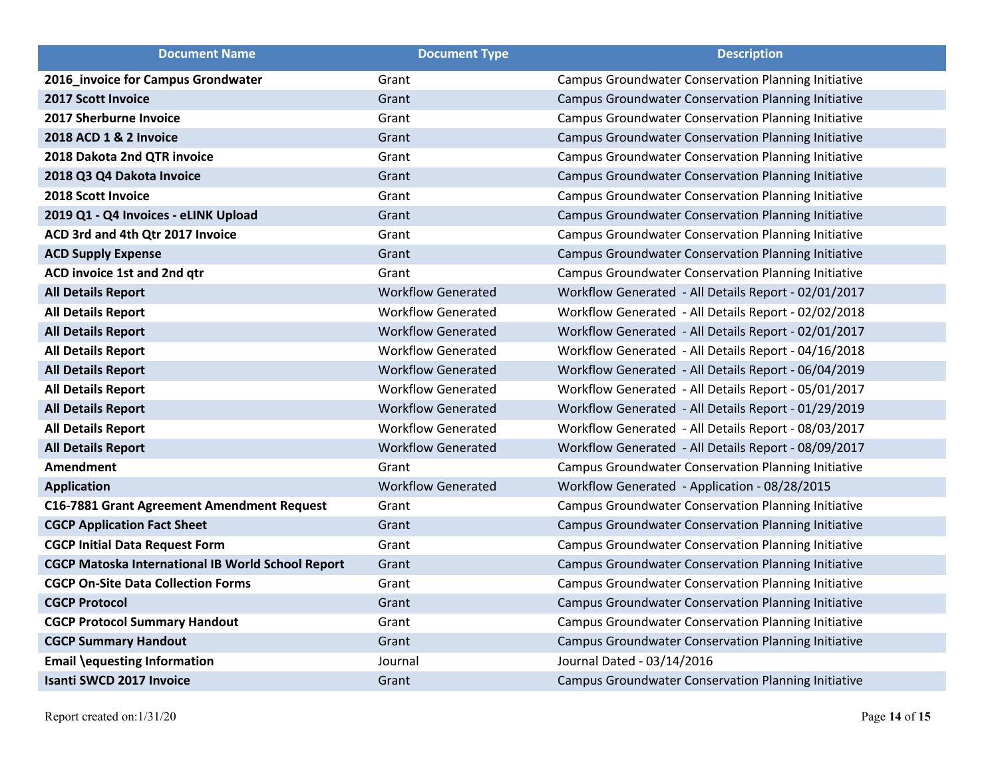| <b>Document Name</b>                                     | <b>Document Type</b>      | <b>Description</b>                                         |
|----------------------------------------------------------|---------------------------|------------------------------------------------------------|
| 2016_invoice for Campus Grondwater                       | Grant                     | <b>Campus Groundwater Conservation Planning Initiative</b> |
| <b>2017 Scott Invoice</b>                                | Grant                     | Campus Groundwater Conservation Planning Initiative        |
| 2017 Sherburne Invoice                                   | Grant                     | <b>Campus Groundwater Conservation Planning Initiative</b> |
| 2018 ACD 1 & 2 Invoice                                   | Grant                     | Campus Groundwater Conservation Planning Initiative        |
| 2018 Dakota 2nd QTR invoice                              | Grant                     | <b>Campus Groundwater Conservation Planning Initiative</b> |
| 2018 Q3 Q4 Dakota Invoice                                | Grant                     | Campus Groundwater Conservation Planning Initiative        |
| 2018 Scott Invoice                                       | Grant                     | <b>Campus Groundwater Conservation Planning Initiative</b> |
| 2019 Q1 - Q4 Invoices - eLINK Upload                     | Grant                     | Campus Groundwater Conservation Planning Initiative        |
| ACD 3rd and 4th Qtr 2017 Invoice                         | Grant                     | <b>Campus Groundwater Conservation Planning Initiative</b> |
| <b>ACD Supply Expense</b>                                | Grant                     | Campus Groundwater Conservation Planning Initiative        |
| ACD invoice 1st and 2nd qtr                              | Grant                     | <b>Campus Groundwater Conservation Planning Initiative</b> |
| <b>All Details Report</b>                                | <b>Workflow Generated</b> | Workflow Generated - All Details Report - 02/01/2017       |
| <b>All Details Report</b>                                | <b>Workflow Generated</b> | Workflow Generated - All Details Report - 02/02/2018       |
| <b>All Details Report</b>                                | <b>Workflow Generated</b> | Workflow Generated - All Details Report - 02/01/2017       |
| <b>All Details Report</b>                                | <b>Workflow Generated</b> | Workflow Generated - All Details Report - 04/16/2018       |
| <b>All Details Report</b>                                | <b>Workflow Generated</b> | Workflow Generated - All Details Report - 06/04/2019       |
| <b>All Details Report</b>                                | <b>Workflow Generated</b> | Workflow Generated - All Details Report - 05/01/2017       |
| <b>All Details Report</b>                                | <b>Workflow Generated</b> | Workflow Generated - All Details Report - 01/29/2019       |
| <b>All Details Report</b>                                | <b>Workflow Generated</b> | Workflow Generated - All Details Report - 08/03/2017       |
| <b>All Details Report</b>                                | <b>Workflow Generated</b> | Workflow Generated - All Details Report - 08/09/2017       |
| <b>Amendment</b>                                         | Grant                     | <b>Campus Groundwater Conservation Planning Initiative</b> |
| <b>Application</b>                                       | <b>Workflow Generated</b> | Workflow Generated - Application - 08/28/2015              |
| C16-7881 Grant Agreement Amendment Request               | Grant                     | <b>Campus Groundwater Conservation Planning Initiative</b> |
| <b>CGCP Application Fact Sheet</b>                       | Grant                     | Campus Groundwater Conservation Planning Initiative        |
| <b>CGCP Initial Data Request Form</b>                    | Grant                     | Campus Groundwater Conservation Planning Initiative        |
| <b>CGCP Matoska International IB World School Report</b> | Grant                     | Campus Groundwater Conservation Planning Initiative        |
| <b>CGCP On-Site Data Collection Forms</b>                | Grant                     | Campus Groundwater Conservation Planning Initiative        |
| <b>CGCP Protocol</b>                                     | Grant                     | Campus Groundwater Conservation Planning Initiative        |
| <b>CGCP Protocol Summary Handout</b>                     | Grant                     | Campus Groundwater Conservation Planning Initiative        |
| <b>CGCP Summary Handout</b>                              | Grant                     | Campus Groundwater Conservation Planning Initiative        |
| <b>Email \equesting Information</b>                      | Journal                   | Journal Dated - 03/14/2016                                 |
| <b>Isanti SWCD 2017 Invoice</b>                          | Grant                     | <b>Campus Groundwater Conservation Planning Initiative</b> |